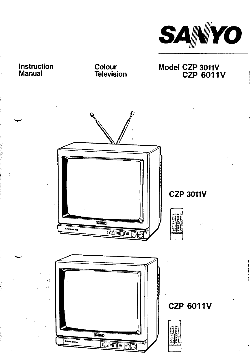

# Instruction Manual

Colour<br>Television

Model CZP 3011V<br>CZP 6011V

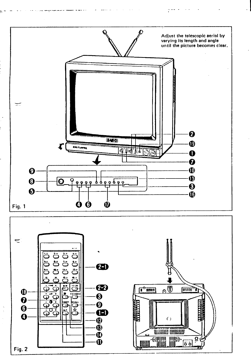

 $\sim$ 

**Castle St** 

 $\sim$   $\sim$ 

والعمالي

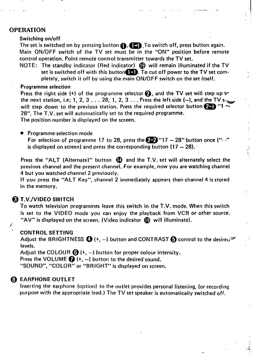## OPERATION

#### **Switching on/off**

**The set is switched on by pressing button 0,~.To switch off, press button again. Main ON/OFF switch of the TV set must be in the "ON" position before remote control operation. Point remote control transmitter towards the TV set.**

ار<br>ا}ال المال الساب <del>المال</del>ية.<br>ا}ال

.-

.:>

**NOTE: The standby indicator (Red indicator) @ will remain illuminated if the TV set is switched off with this button~. To cut off power to the TV set completely, switch it off by using the main ON/OFF switch on the set itself.**

#### **Programme selection**

**Press the right side (+) of the programme selector ~, and the TV set will step up tr** the next station, i.e; 1, 2, 3 . . . 28, 1, 2, 3 . . . Press the left side  $(-)$ , and the TV s. **will step down to the previous station. Press the required selector button**  $\overline{24}$  **"1**  $\overline{4}$ **28". The T.V. set will automatically set to the required programme. The position number is displayed on the screen.**

● **Programme-selection mode**

**For selection of programme 17 to 28, press the ~"17 – 28" button once ("- -" is displayed on screen) and press the corresponding button (17 -** 28).

**Press the "ALT (Alternate)" button @ and the T.V. set will alternately select the previous channel and the present channel. For example, now you are watching channel 4 but you watched channel 2 previously.**

**If you press the "ALT Key", channel 2 immediately appears then channel 4 is stored in the memory.**

#### **@ T.V./VlDEO SWITCH**

**{"**

**To watch television programmed leave this switch in the T.V. mode. When this switch is set to the VIDEO mode you can enjoy the playback from VCR or other source. "AV" is displayed on the screen. (Video indicator @ will illuminate).**

#### **b CONTROL SETTING**

**Adjust the BRIGHTNESS ~ (+, –) button and CONTRAST ~ control to the desire~= : levels.**

**Adjust the COLOUR ~ (+, –) button for proper colour intensity.**

**Press the VOLUME ~ (+, –) button to the desired sound.**

**"SOUND", "COLOR" or "8R IGHT" is displayed on screen.**

#### **~ EARPHONE OUTLET**

**Inserting the earphone (option) to the outlet provides personal listening, (or recording purpose with the appropriate lead. ) The TV set speaker is automatically switched off.**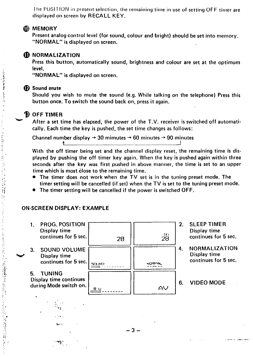**1Ile I'OSI1 ION in plesel]t selectiorl, tile remaining time in use of setting OFF timer are displayed on screen by RECALL KEY.**

## **MEMORY**

**Present analog control level (for sound, colour and bright) should be set into memory. "NORMAL" is displayed on screen.**

#### *D* NORMALIZATION

**Press this button, automatically sound, brightness andcolour are set at the optimum level.**

**"NORMAL" is displayed on screen.**

#### **Sound mute**

医巴西氏试验检尿 医多发性

医心脏 医阿拉伯氏征

**Should you wish to mute the sound (e.g. While talking on the telephone) Press this button once. To switch the sound back on, press it again.**

### **OFF TIMER**

**After a set time has elapsed, the power of the T.V. receiver is switched off automatically. Each time the key is pushed, the set time changes as follows:**

**Channel number display + 30 mimutes -+ 60 minutes ~ 90 minutes**

**With the off timer being set and the channel display reset, the remaining time is displayed by pushing the off timer key again. When the key is pushed again within three seconds after the key was first pushed in above manner, the time is set to an upper time which is most close to the remaining time.**

- **. The timer does not work when the TV set is in the tuning preset mode. The timer setting will be cancelled (if set) when the TV is set to the tuning preset mode.**
- **. The timer setting will be cancelled if the power is switched OFF.**

#### **ON-SCREEN DISPLAY: EXAMPLE**

**~.~**

1. **PROG. POSITION 2. SLEEP TIMER Display time Display time** 9X) **continues for 5 sec continues for 5 sec.** 28 28 ~~ **~ 4. NORMALIZATION 3. SOUND VOLUME Display time w Display time continues for 5 sec. continues for 5 sec** NOQ~fiL **---------** 501,1M12<br>1111111 ---**5. TUNING Display time continues 6. VIDEO MODE during Mode switch on.**  $\Delta$ V ([w--------  $\mathcal{L}^{\text{max}}$  $: \, \cdot \,$ tJ ' . . . . +., –3– . ..... . ,?-....-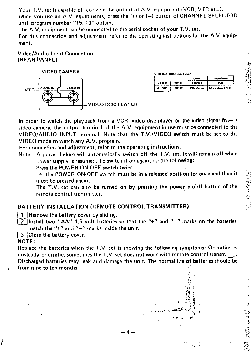Your T.V, set is capable of receiving the output of A.V. equipment (VCR, VTR etc.). When you use an A.V. equipments, press the (+) or (-) button of CHANNEL SELECTOR until program number "15, 16" obtain.

The A.V. equipment can be connected to the aerial socket of your T.V. set.

For this connection and adjustment, refer to the operating instructions for the A.V. equipment.

**Video/Audio Input Connection** (REAR PANEL)



| VIDEO/AUDIO Input level |              |         |                           |  |  |
|-------------------------|--------------|---------|---------------------------|--|--|
|                         |              | Level   | Impedance                 |  |  |
| <b>VIDEO</b>            | <b>INPUT</b> | 1.0Vp-o | วรถ                       |  |  |
| <b>AUDIO</b>            | <b>INPUT</b> |         | 436mVrms   More than 40km |  |  |

In order to watch the playback from a VCR, video disc player or the video signal from a video camera, the output terminal of the A.V. equipment in use must be connected to the VIDEO/AUDIO INPUT terminal. Note that the T.V./VIDEO switch must be set to the VIDEO mode to watch any A.V. program.

For connection and adjustment, refer to the operating instructions.

Note: A power failure will automatically switch off the T.V. set. It will remain off when power supply is resumed. To switch it on again, do the following:

Press the POWER ON-OFF switch twice.

i.e. the POWER ON-OFF switch must be in a released position for once and then it must be pressed again.

The T.V. set can also be turned on by pressing the power on/off button of the remote control transmitter.

## BATTERY INSTALLATION (REMOTE CONTROL TRANSMITTER)

 $\left[1\right]$  Remove the battery cover by sliding.

- [2] Install two "AA" 1.5 volt batteries so that the "+" and "-" marks on the batteries match the "+" and "-" marks inside the unit.
- [3] Close the battery cover.

À

#### NOTE:

Replace the batteries when the T.V. set is showing the following symptoms: Operation is unsteady or erratic, sometimes the T.V. set does not work with remote control transm. Discharged batteries may leak and damage the unit. The normal life of batteries should be from nine to ten months.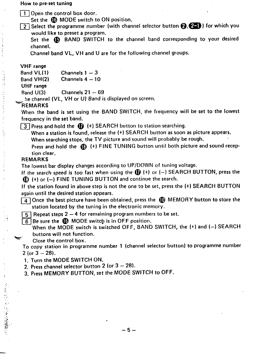#### **How to pre-set tuning**

**~Open the control box door.**

**Set the @ MODE switch to ON position.**

**~ Select the programme number (with channel selector button Q,=) for which You would like to preset a program.**

**Set the @ BAND SWITCH to the channel band corresponding to your desired channel.**

**Channel band VL, VH and U are for the following channel groups.**

**VHF range**

 $Band VL(1)$  **Channels**  $1-3$ 

**Band VH(2) Channels 4 – 10**

**UHF range**

**Band U(3) Channels 21 – 69**

**he channel (VL, VU or U) Band is displayed on screen.**

### **'REMARKS**

**When the band is set using the BAND SWITCH, the frequency will be set to the lowest frequency in the set band.**

**~ Press and hold the @ (+) SEARCH button to station searcflin9.**

**When a station is found, release the (+) SEARCH button as soon as picture appears. When searching stops, the TV picture and sound will probably be rough.**

**press and hold the @ (+) FINE TUNING button until both picture and sound recePtion clear.**

#### **REMARKS**

**w"**

**のことにいたらは「学習の場所」** 

**The lowest bar display changes according to UP/DOWN of tuning voltage.**

**If the search speed is too fast when using the @ (+) or (–) SEARCH BUTTON, press the @ (+) or (-) FINE TUNING BUTTON and continue the search.**

**If the station found in above step is not the one to be set, press the (+) SEARCH BUTTON again until the desired station appears.**

**~ Once the best picture have been obtained, press the @) MEMORY button to store the station located by the tuning in the electronic memory.**

**~ Repeat steps 2-4 for remaining program numbers to be set.**

 $\boxed{6}$  Be sure the **@** MODE switch is in OFF position.

**When the MODE switch is switched OFF, BAND SWITCH, the (+) and (–) SEARCH buttons will not function.**

**Close the control box.**

**To copy station in programme number 1 (channel selector button) to programme number 2 (or3 –28).**

**1. Turn the MODE SWITCH ON.**

**2. Press channel selector button 2 (or 3- 2B).**

**3. Press MEMORY BUTTON, set the MODE SWITCH to OFF.**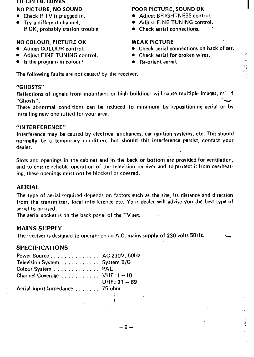#### **HELI'kUL HIN 1Ss**

- 
- **if OK, probably station trouble. . Check aerial connections. "**

## **NO COLOUR, PICTURE OK WEAK PICTURE**

- 
- **0** Adjust FINE TUNING control.
- **. Is the program in colour? . Re-orient aerial. ..**

## **NO PICTURE, NO SOUND POOR PICTURE, SOUND OK**

- **. Check if TV is plugged in. . Adjust BRIGHTNESS control.**
- **. Try a different channel, . Adjust FINE TUNING control.**
	-

● **Adjust COLOUR** control. ● **Check aerial connections on back** of set.<br>● **Adjust FINE TUNING** control. ● Check aerial for broken wires.

**;< ,.,**

**,..:**

- 
- 

**The following faults are not caused hy the receiver.**

## **"GHOSTS"**

**Reflections of signals from rnountairls or high buildings will cause multiple images, c?"' 1 "Ghosts". 'u**

**These abnormal conditions can be reduced to minimum by repositioning aerial or by installing new one suited for your area.**

#### **"INTERFERENCE"**

**Interference may be caused by electrical appliances, car ignition systems, etc. This should normally be a temporary comfiticm, but should this interference persist, contact your dealer.**

**Slots and openings in the cabinet and in the back or bottom are provided for ventilation, and to ensure reliable operation of the television receiver and to protect it from overheating, these openings must not be Mockpd m covered.**

## AERIAL

**The type of aerial required depends on factors such as the site, its distance and direction from the transmitter, local intel ference etc. Your dealer will advise you the best type of aerial to be used.**

**The aerial socket is on the back panel of the TV set.**

## MAINS SUPPLY

**The receiver is designed to ol)et ate on an A.C. mains supply of 230 volts 50 Hz. \_**

## SPECIFICATIONS

| Power Source AC 230V, $50Hz$  |                |
|-------------------------------|----------------|
| Television System System B/G  |                |
| Colour System PAL             |                |
| Channel Coverage  VHF: 1-10   |                |
|                               | UHF: $21 - 69$ |
| Aerial Input Impedance 75 ohm |                |